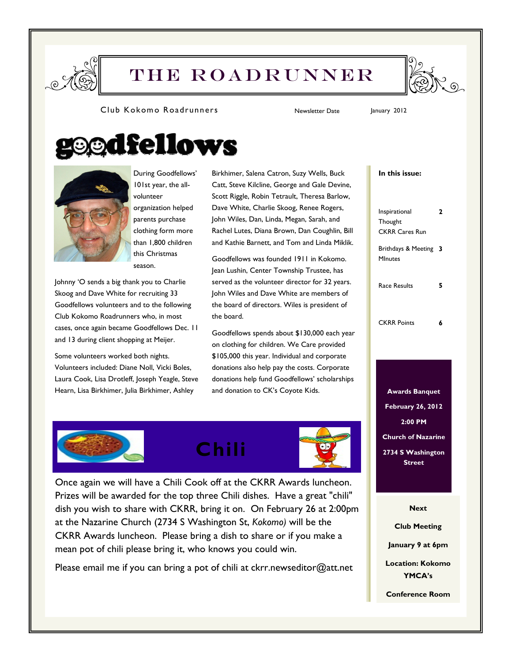

# THE Roadrunner



#### Club Kokomo Roadrunners Newsletter Date January 2012

# edfellows



During Goodfellows' 101st year, the allvolunteer organization helped parents purchase clothing form more than 1,800 children

this Christmas season. Johnny 'O sends a big thank you to Charlie Skoog and Dave White for recruiting 33

Goodfellows volunteers and to the following Club Kokomo Roadrunners who, in most cases, once again became Goodfellows Dec. 11 and 13 during client shopping at Meijer.

Some volunteers worked both nights. Volunteers included: Diane Noll, Vicki Boles, Laura Cook, Lisa Drotleff, Joseph Yeagle, Steve Hearn, Lisa Birkhimer, Julia Birkhimer, Ashley

Birkhimer, Salena Catron, Suzy Wells, Buck Catt, Steve Kilcline, George and Gale Devine, Scott Riggle, Robin Tetrault, Theresa Barlow, Dave White, Charlie Skoog, Renee Rogers, John Wiles, Dan, Linda, Megan, Sarah, and Rachel Lutes, Diana Brown, Dan Coughlin, Bill and Kathie Barnett, and Tom and Linda Miklik.

Goodfellows was founded 1911 in Kokomo. Jean Lushin, Center Township Trustee, has served as the volunteer director for 32 years. John Wiles and Dave White are members of the board of directors. Wiles is president of the board.

Goodfellows spends about \$130,000 each year on clothing for children. We Care provided \$105,000 this year. Individual and corporate donations also help pay the costs. Corporate donations help fund Goodfellows' scholarships and donation to CK's Coyote Kids. **Awards Banquet** 

# In this issue:

Inspirational **Thought** CKRR Cares Run 2 Brithdays & Meeting 3 MInutes Race Results 5 CKRR Points 6

February 26, 2012 2:00 PM Church of Nazarine 2734 S Washington **Street** 

**Next** 

Club Meeting

January 9 at 6pm

Location: Kokomo YMCA's

Conference Room





Once again we will have a Chili Cook off at the CKRR Awards luncheon. Prizes will be awarded for the top three Chili dishes. Have a great "chili" dish you wish to share with CKRR, bring it on. On February 26 at 2:00pm at the Nazarine Church (2734 S Washington St, Kokomo) will be the CKRR Awards luncheon. Please bring a dish to share or if you make a mean pot of chili please bring it, who knows you could win.

Please email me if you can bring a pot of chili at ckrr.newseditor@att.net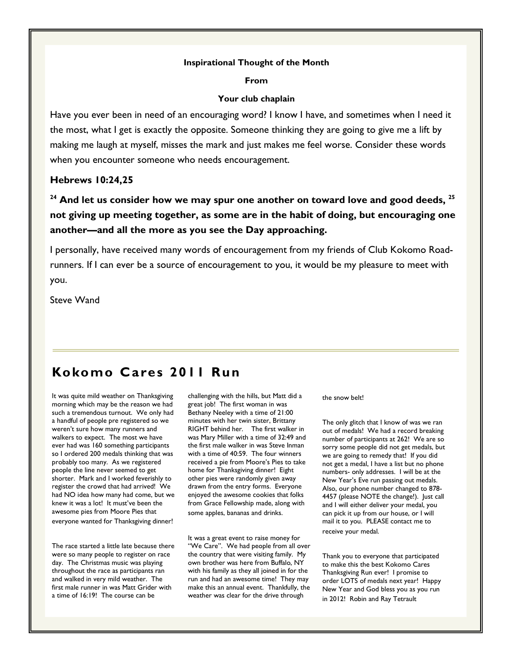# Inspirational Thought of the Month

From

# Your club chaplain

Have you ever been in need of an encouraging word? I know I have, and sometimes when I need it the most, what I get is exactly the opposite. Someone thinking they are going to give me a lift by making me laugh at myself, misses the mark and just makes me feel worse. Consider these words when you encounter someone who needs encouragement.

# Hebrews 10:24,25

 $24$  And let us consider how we may spur one another on toward love and good deeds,  $25$ not giving up meeting together, as some are in the habit of doing, but encouraging one another—and all the more as you see the Day approaching.

I personally, have received many words of encouragement from my friends of Club Kokomo Roadrunners. If I can ever be a source of encouragement to you, it would be my pleasure to meet with you.

Steve Wand

# Kokomo Cares 2011 Run

It was quite mild weather on Thanksgiving morning which may be the reason we had such a tremendous turnout. We only had a handful of people pre registered so we weren't sure how many runners and walkers to expect. The most we have ever had was 160 something participants so I ordered 200 medals thinking that was probably too many. As we registered people the line never seemed to get shorter. Mark and I worked feverishly to register the crowd that had arrived! We had NO idea how many had come, but we knew it was a lot! It must've been the awesome pies from Moore Pies that everyone wanted for Thanksgiving dinner!

The race started a little late because there were so many people to register on race day. The Christmas music was playing throughout the race as participants ran and walked in very mild weather. The first male runner in was Matt Grider with a time of 16:19! The course can be

challenging with the hills, but Matt did a great job! The first woman in was Bethany Neeley with a time of 21:00 minutes with her twin sister, Brittany RIGHT behind her. The first walker in was Mary Miller with a time of 32:49 and the first male walker in was Steve Inman with a time of 40:59. The four winners received a pie from Moore's Pies to take home for Thanksgiving dinner! Eight other pies were randomly given away drawn from the entry forms. Everyone enjoyed the awesome cookies that folks from Grace Fellowship made, along with some apples, bananas and drinks.

It was a great event to raise money for "We Care". We had people from all over the country that were visiting family. My own brother was here from Buffalo, NY with his family as they all joined in for the run and had an awesome time! They may make this an annual event. Thankfully, the weather was clear for the drive through

the snow belt!

The only glitch that I know of was we ran out of medals! We had a record breaking number of participants at 262! We are so sorry some people did not get medals, but we are going to remedy that! If you did not get a medal, I have a list but no phone numbers- only addresses. I will be at the New Year's Eve run passing out medals. Also, our phone number changed to 878- 4457 (please NOTE the change!). Just call and I will either deliver your medal, you can pick it up from our house, or I will mail it to you. PLEASE contact me to receive your medal.

Thank you to everyone that participated to make this the best Kokomo Cares Thanksgiving Run ever! I promise to order LOTS of medals next year! Happy New Year and God bless you as you run in 2012! Robin and Ray Tetrault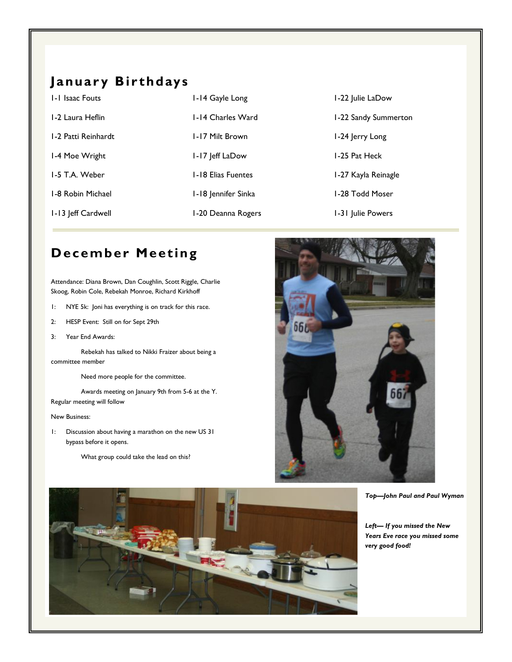# January Birthdays

| 1-1 Isaac Fouts     | 1-14 Gayle Long           | 1-22 Julie LaDow     |
|---------------------|---------------------------|----------------------|
| 1-2 Laura Heflin    | 1-14 Charles Ward         | 1-22 Sandy Summerton |
| 1-2 Patti Reinhardt | 1-17 Milt Brown           | 1-24 Jerry Long      |
| 1-4 Moe Wright      | 1-17 Jeff LaDow           | 1-25 Pat Heck        |
| 1-5 T.A. Weber      | <b>1-18 Elias Fuentes</b> | 1-27 Kayla Reinagle  |
| 1-8 Robin Michael   | 1-18 Jennifer Sinka       | 1-28 Todd Moser      |
| 1-13 Jeff Cardwell  | 1-20 Deanna Rogers        | 1-31 Julie Powers    |
|                     |                           |                      |

# December Meeting

Attendance: Diana Brown, Dan Coughlin, Scott Riggle, Charlie Skoog, Robin Cole, Rebekah Monroe, Richard Kirkhoff

- 1: NYE 5k: Joni has everything is on track for this race.
- 2: HESP Event: Still on for Sept 29th
- 3: Year End Awards:

 Rebekah has talked to Nikki Fraizer about being a committee member

Need more people for the committee.

 Awards meeting on January 9th from 5-6 at the Y. Regular meeting will follow

#### New Business:

1: Discussion about having a marathon on the new US 31 bypass before it opens.

What group could take the lead on this?



Top—John Paul and Paul Wyman

Left— If you missed the New Years Eve race you missed some very good food!

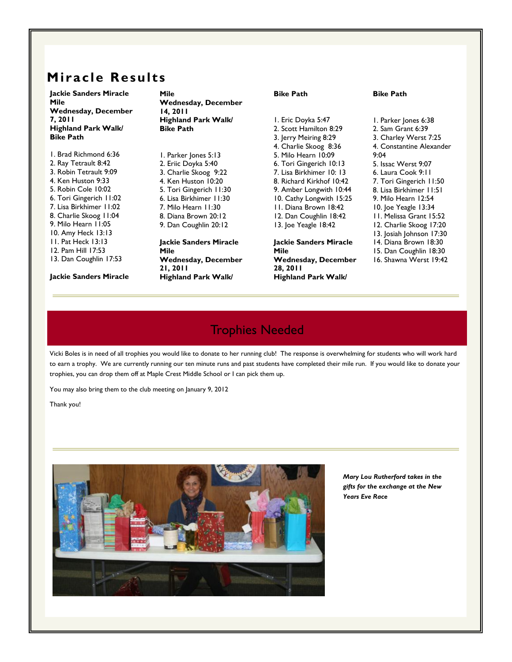# Miracle Results

Jackie Sanders Miracle Mile Wednesday, December 7, 2011 Highland Park Walk/ Bike Path

1. Brad Richmond 6:36 2. Ray Tetrault 8:42 3. Robin Tetrault 9:09 4. Ken Huston 9:33 5. Robin Cole 10:02 6. Tori Gingerich 11:02 7. Lisa Birkhimer 11:02 8. Charlie Skoog 11:04 9. Milo Hearn 11:05 10. Amy Heck 13:13 11. Pat Heck 13:13 12. Pam Hill 17:53 13. Dan Coughlin 17:53

Jackie Sanders Miracle

Mile Wednesday, December 14, 2011 Highland Park Walk/ Bike Path

1. Parker Jones 5:13 2. Eriic Doyka 5:40 3. Charlie Skoog 9:22 4. Ken Huston 10:20 5. Tori Gingerich 11:30 6. Lisa Birkhimer 11:30 7. Milo Hearn 11:30 8. Diana Brown 20:12 9. Dan Coughlin 20:12 Jackie Sanders Miracle Mile Wednesday, December 21, 2011

Highland Park Walk/

Bike Path

1. Eric Doyka 5:47 2. Scott Hamilton 8:29 3. Jerry Meiring 8:29 4. Charlie Skoog 8:36 5. Milo Hearn 10:09 6. Tori Gingerich 10:13 7. Lisa Birkhimer 10: 13 8. Richard Kirkhof 10:42 9. Amber Longwith 10:44 10. Cathy Longwith 15:25 11. Diana Brown 18:42 12. Dan Coughlin 18:42 13. Joe Yeagle 18:42

Jackie Sanders Miracle Mile Wednesday, December 28, 2011 Highland Park Walk/

### Bike Path

1. Parker Jones 6:38 2. Sam Grant 6:39 3. Charley Werst 7:25 4. Constantine Alexander 9:04 5. Issac Werst 9:07 6. Laura Cook 9:11 7. Tori Gingerich 11:50 8. Lisa Birkhimer 11:51 9. Milo Hearn 12:54 10. Joe Yeagle 13:34 11. Melissa Grant 15:52 12. Charlie Skoog 17:20 13. Josiah Johnson 17:30 14. Diana Brown 18:30 15. Dan Coughlin 18:30 16. Shawna Werst 19:42

# Trophies Needed

Vicki Boles is in need of all trophies you would like to donate to her running club! The response is overwhelming for students who will work hard to earn a trophy. We are currently running our ten minute runs and past students have completed their mile run. If you would like to donate your trophies, you can drop them off at Maple Crest Middle School or I can pick them up.

You may also bring them to the club meeting on January 9, 2012

Thank you!



Mary Lou Rutherford takes in the gifts for the exchange at the New Years Eve Race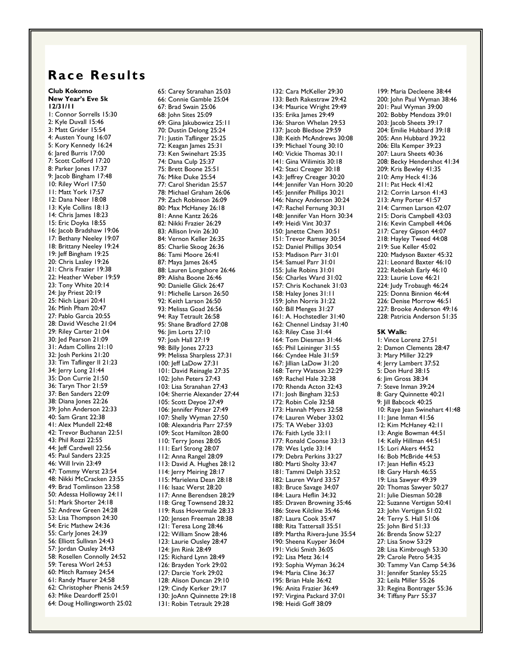# Race Results

Club Kokomo New Year's Eve 5k 12/31/11 1: Connor Sorrells 15:30 2: Kyle Duvall 15:46 3: Matt Grider 15:54 4: Austen Young 16:07 5: Kory Kennedy 16:24 6: Jared Burris 17:00 7: Scott Colford 17:20 8: Parker Jones 17:37 9: Jacob Bingham 17:48 10: Riley Worl 17:50 11: Matt York 17:57 12: Dana Neer 18:08 13: Kyle Collins 18:13 14: Chris James 18:23 15: Eric Doyka 18:55 16: Jacob Bradshaw 19:06 17: Bethany Neeley 19:07 18: Brittany Neeley 19:24 19: Jeff Bingham 19:25 20: Chris Lasley 19:26 21: Chris Frazier 19:38 22: Heather Weber 19:59 23: Tony White 20:14 24: Jay Priest 20:19 25: Nich Lipari 20:41 26: Minh Pham 20:47 27: Pablo Garcia 20:55 28: David Wesche 21:04 29: Riley Carter 21:04 30: Jed Pearson 21:09 31: Adam Collins 21:10 32: Josh Perkins 21:20 33: Tim Taflinger II 21:23 34: Jerry Long 21:44 35: Don Currie 21:50 36: Taryn Thor 21:59 37: Ben Sanders 22:09 38: Diana Jones 22:26 39: John Anderson 22:33 40: Sam Grant 22:38 41: Alex Mundell 22:48 42: Trevor Buchanan 22:51 43: Phil Rozzi 22:55 44: Jeff Cardwell 22:56 45: Paul Sanders 23:25 46: Will Irvin 23:49 47: Tommy Werst 23:54 48: Nikki McCracken 23:55 49: Brad Tomlinson 23:58 50: Adessa Holloway 24:11 51: Mark Shorter 24:18 52: Andrew Green 24:28 53: Lisa Thompson 24:30 54: Eric Mathew 24:36 55: Carly Jones 24:39 56: Elliott Sullivan 24:43 57: Jordan Ousley 24:43 58: Rosellen Connolly 24:52 59: Teresa Worl 24:53 60: Mitch Ramsey 24:54 61: Randy Maurer 24:58 62: Christopher Phenis 24:59 63: Mike Deardorff 25:01 64: Doug Hollingsworth 25:02

65: Carey Stranahan 25:03 66: Connie Gamble 25:04 67: Brad Swain 25:06 68: John Sites 25:09 69: Gina Jakubowicz 25:11 70: Dustin Delong 25:24 71: Justin Taflinger 25:25 72: Keagan James 25:31 73: Ken Swinehart 25:35 74: Dana Culp 25:37 75: Brett Boone 25:51 76: Mike Duke 25:54 77: Carol Sheridan 25:57 78: Michael Graham 26:06 79: Zach Robinson 26:09 80: Max McHaney 26:18 81: Anne Kantz 26:26 82: Nikki Frazier 26:29 83: Allison Irvin 26:30 84: Vernon Keller 26:35 85: Charlie Skoog 26:36 86: Tami Moore 26:41 87: Maya James 26:45 88: Lauren Longshore 26:46 89: Alisha Boone 26:46 90: Danielle Glick 26:47 91: Michelle Larson 26:50 92: Keith Larson 26:50 93: Melissa Goad 26:56 94: Ray Tetrault 26:58 95: Shane Bradford 27:08 96: Jim Lorts 27:10 97: Josh Hall 27:19 98: Billy Jones 27:23 99: Melissa Sharpless 27:31 100: Jeff LaDow 27:31 101: David Reinagle 27:35 102: John Peters 27:43 103: Lisa Stranahan 27:43 104: Sherrie Alexander 27:44 105: Scott Deyoe 27:49 106: Jennifer Pitner 27:49 107: Shelly Wyman 27:50 108: Alexandria Parr 27:59 109: Scot Hamilton 28:00 110: Terry Jones 28:05 111: Earl Strong 28:07 112: Anna Rangel 28:09 113: David A. Hughes 28:12 114: Jerry Meiring 28:17 115: Marielena Dean 28:18 116: Isaac Werst 28:20 117: Anne Berendsen 28:29 118: Greg Townsend 28:32 119: Russ Hovermale 28:33 120: Jensen Freeman 28:38 121: Teresa Long 28:46 122: William Snow 28:46 123: Laurie Ousley 28:47 124: Jim Rink 28:49 125: Richard Lynn 28:49 126: Brayden York 29:02 127: Darcie York 29:02 128: Alison Duncan 29:10 129: Cindy Kerker 29:17 130: JoAnn Quinnette 29:18 131: Robin Tetrault 29:28

133: Beth Rakestraw 29:42 134: Maurice Wright 29:49 135: Erika James 29:49 136: Sharon Whelan 29:53 137: Jacob Bledsoe 29:59 138: Keith McAndrews 30:08 139: Michael Young 30:10 140: Vickie Thomas 30:11 141: Gina Wilimitis 30:18 142: Staci Creager 30:18 143: Jeffrey Creager 30:20 144: Jennifer Van Horn 30:20 145: Jennifer Phillips 30:21 146: Nancy Anderson 30:24 147: Rachel Fernung 30:31 148: Jennifer Van Horn 30:34 149: Heidi Vint 30:37 150: Janette Chem 30:51 151: Trevor Ramsey 30:54 152: Daniel Phillips 30:54 153: Madison Parr 31:01 154: Samuel Parr 31:01 155: Julie Robins 31:01 156: Charles Ward 31:02 157: Chris Kochanek 31:03 158: Haley Jones 31:11 159: John Norris 31:22 160: Bill Menges 31:27 161: A. Hochstedler 31:40 162: Chennel Lindsay 31:40 163: Riley Case 31:44 164: Tom Diesman 31:46 165: Phil Leininger 31:55 166: Cyndee Hale 31:59 167: Jillian LaDow 31:20 168: Terry Watson 32:29 169: Rachel Hale 32:38 170: Rhenda Acton 32:43 171: Josh Bingham 32:53 172: Robin Cole 32:58 173: Hannah Myers 32:58 174: Lauren Weber 33:02 175: TA Weber 33:03 176: Faith Lytle 33:11 177: Ronald Coonse 33:13 178: Wes Lytle 33:14 179: Debra Perkins 33:27 180: Marti Sholty 33:47 181: Tammi Delph 33:52 182: Lauren Ward 33:57 183: Bruce Savage 34:07 184: Laura Heflin 34:32 185: Draven Browning 35:46 186: Steve Kilcline 35:46 187: Laura Cook 35:47 188: Rita Tattersall 35:51 189: Martha Rivera-June 35:54 190: Sheena Kuyper 36:04 191: Vicki Smith 36:05 192: Lisa Metz 36:14 193: Sophia Wyman 36:24 194: Maria Cline 36:37 195: Brian Hale 36:42 196: Anita Frazier 36:49 197: Virgina Packard 37:01 198: Heidi Goff 38:09

132: Cara McKeller 29:30

199: Maria Decleene 38:44 200: John Paul Wyman 38:46 201: Paul Wyman 39:00 202: Bobby Mendoza 39:01 203: Jacob Sheets 39:17 204: Emilie Hubbard 39:18 205: Ann Hubbard 39:22 206: Ella Kemper 39:23 207: Laura Sheets 40:36 208: Becky Hendershot 41:34 209: Kris Bewley 41:35 210: Amy Heck 41:36 211: Pat Heck 41:42 212: Corrin Larson 41:43 213: Amy Porter 41:57 214: Carmen Larson 42:07 215: Doris Campbell 43:03 216: Kevin Campbell 44:06 217: Carey Gipson 44:07 218: Hayley Tweed 44:08 219: Sue Keller 45:02 220: Madyson Baxter 45:32 221: Leonard Baxter 46:10 222: Rebekah Early 46:10 223: Laurie Love 46:21 224: Judy Trobaugh 46:24 225: Donna Binnion 46:44 226: Denise Morrow 46:51 227: Brooke Anderson 49:16 228: Patricia Anderson 51:35 5K Walk: 1: Vince Lorenz 27:51 2: Damon Clements 28:47 3: Mary Miller 32:29 4: Jerry Lambert 37:52 5: Don Hurd 38:15 6: Jim Gross 38:34 7: Steve Inman 39:24 8: Gary Quinnette 40:21 9: Jill Babcock 40:25 10: Raye Jean Swinehart 41:48 11: Jane Inman 41:56 12: Kim McHaney 42:11 13: Angie Bowman 44:51

14: Kelly Hillman 44:51 15: Lori Akers 44:52 16: Bob McBride 44:53 17: Jean Heflin 45:23 18: Gary Harsh 46:55 19: Lisa Sawyer 49:39 20: Thomas Sawyer 50:27 21: Julie Diesman 50:28 22: Suzanne Vertigan 50:41 23: John Vertigan 51:02 24: Terry S. Hall 51:06 25: John Bird 51:33 26: Brenda Snow 52:27 27: Lisa Snow 53:29 28: Lisa Kimbrough 53:30 29: Carole Petro 54:35 30: Tammy Van Camp 54:36 31: Jennifer Stanley 55:25 32: Leila Miller 55:26 33: Regina Bontrager 55:36

34: Tiffany Parr 55:37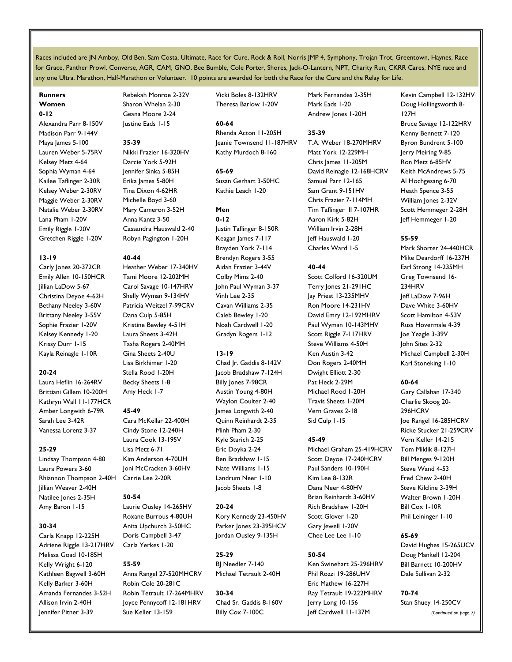Races included are JN Amboy, Old Ben, Sam Costa, Ultimate, Race for Cure, Rock & Roll, Norris JMP 4, Symphony, Trojan Trot, Greentown, Haynes, Race for Grace, Panther Prowl, Converse, AGR, CAM, GNO, Bee Bumble, Cole Porter, Shores, Jack-O-Lantern, NPT, Charity Run, CKRR Cares, NYE race and any one Ultra, Marathon, Half-Marathon or Volunteer. 10 points are awarded for both the Race for the Cure and the Relay for Life.

# Runners Women

#### 0-12

Alexandra Parr 8-150V Madison Parr 9-144V Maya James 5-100 Lauren Weber 5-75RV Kelsey Metz 4-64 Sophia Wyman 4-64 Kailee Taflinger 2-30R Kelsey Weber 2-30RV Maggie Weber 2-30RV Natalie Weber 2-30RV Lana Pham 1-20V Emily Riggle 1-20V Gretchen Riggle 1-20V

#### 13-19

Carly Jones 20-372CR Emily Allen 10-150HCR Jillian LaDow 5-67 Christina Deyoe 4-62H Bethany Neeley 3-60V Brittany Neeley 3-55V Sophie Frazier 1-20V Kelsey Kennedy 1-20 Krissy Durr 1-15 Kayla Reinagle 1-10R

#### 20-24

Laura Heflin 16-264RV Brittiani Gillem 10-200H Kathryn Wall 11-177HCR Amber Longwith 6-79R Sarah Lee 3-42R Vanessa Lorenz 3-37

# 25-29

Lindsay Thompson 4-80 Laura Powers 3-60 Rhiannon Thompson 2-40H Jillian Weaver 2-40H Natilee Jones 2-35H Amy Baron 1-15

# 30-34

Carla Knapp 12-225H Adriene Riggle 13-217HRV Melissa Goad 10-185H Kelly Wright 6-120 Kathleen Bagwell 3-60H Kelly Barker 3-60H Amanda Fernandes 3-52H Allison Irvin 2-40H Jennifer Pitner 3-39

Rebekah Monroe 2-32V Sharon Whelan 2-30 Geana Moore 2-24 Justine Eads 1-15

#### 35-39

Nikki Frazier 16-320HV Darcie York 5-92H Jennifer Sinka 5-85H Erika James 5-80H Tina Dixon 4-62HR Michelle Boyd 3-60 Mary Cameron 3-52H Anna Kantz 3-50 Cassandra Hauswald 2-40 Robyn Pagington 1-20H

#### 40-44

Heather Weber 17-340HV Tami Moore 12-202MH Carol Savage 10-147HRV Shelly Wyman 9-134HV Patricia Weitzel 7-99CRV Dana Culp 5-85H Kristine Bewley 4-51H Laura Sheets 3-42H Tasha Rogers 2-40MH Gina Sheets 2-40U Lisa Birkhimer 1-20 Stella Rood 1-20H Becky Sheets 1-8 Amy Heck 1-7

#### 45-49

Cara McKellar 22-400H Cindy Stone 12-240H Laura Cook 13-195V Lisa Metz 6-71 Kim Anderson 4-70UH Joni McCracken 3-60HV Carrie Lee 2-20R

# 50-54

Laurie Ousley 14-265HV Roxane Burrous 4-80UH Anita Upchurch 3-50HC Doris Campbell 3-47 Carla Yerkes 1-20

# 55-59

Anna Rangel 27-520MHCRV Robin Cole 20-281C Robin Tetrault 17-264MHRV Joyce Pennycoff 12-181HRV Sue Keller 13-159

Vicki Boles 8-132HRV Theresa Barlow 1-20V

# 60-64

Rhenda Acton 11-205H Jeanie Townsend 11-187HRV Kathy Murdoch 8-160

#### 65-69 Susan Gerhart 3-50HC Kathie Leach 1-20

Men

# 0-12 Justin Taflinger 8-150R Keagan James 7-117 Brayden York 7-114 Brendyn Rogers 3-55 Aidan Frazier 3-44V Colby Mims 2-40 John Paul Wyman 3-37 Vinh Lee 2-35 Cavan Williams 2-35 Caleb Bewley 1-20 Noah Cardwell 1-20 Gradyn Rogers 1-12

# 13-19

Chad Jr. Gaddis 8-142V Jacob Bradshaw 7-124H Billy Jones 7-98CR Austin Young 4-80H Waylon Coulter 2-40 James Longwith 2-40 Quinn Reinhardt 2-35 Minh Pham 2-30 Kyle Starich 2-25 Eric Doyka 2-24 Ben Bradshaw 1-15 Nate Williams 1-15 Landrum Neer 1-10 Jacob Sheets 1-8

# 20-24

Kory Kennedy 23-450HV Parker Jones 23-395HCV Jordan Ousley 9-135H

# 25-29

BJ Needler 7-140 Michael Tetrault 2-40H

30-34 Chad Sr. Gaddis 8-160V Billy Cox 7-100C

Mark Fernandes 2-35H Mark Eads 1-20 Andrew Jones 1-20H

### 35-39

T.A. Weber 18-270MHRV Matt York 12-229MH Chris James 11-205M David Reinagle 12-168HCRV Samuel Parr 12-165 Sam Grant 9-151HV Chris Frazier 7-114MH Tim Taflinger II 7-107HR Aaron Kirk 5-82H William Irvin 2-28H Jeff Hauswald 1-20 Charles Ward 1-5

# 40-44

Scott Colford 16-320UM Terry Jones 21-291HC Jay Priest 13-235MHV Ron Moore 14-231HV David Emry 12-192MHRV Paul Wyman 10-143MHV Scott Riggle 7-117HRV Steve Williams 4-50H Ken Austin 3-42 Don Rogers 2-40MH Dwight Elliott 2-30 Pat Heck 2-29M Michael Rood 1-20H Travis Sheets 1-20M Vern Graves 2-18 Sid Culp 1-15

# 45-49

Michael Graham 25-419HCRV Scott Deyoe 17-240HCRV Paul Sanders 10-190H Kim Lee 8-132R Dana Neer 4-80HV Brian Reinhardt 3-60HV Rich Bradshaw 1-20H Scott Glover 1-20 Gary Jewell 1-20V Chee Lee Lee 1-10

# 50-54

Ken Swinehart 25-296HRV Phil Rozzi 19-286UHV Eric Mathew 16-227H Ray Tetrault 19-222MHRV Jerry Long 10-156 Jeff Cardwell 11-137M

Kevin Campbell 12-132HV Doug Hollingsworth 8- 127H Bruce Savage 12-122HRV Kenny Bennett 7-120 Byron Bundrent 5-100 Jerry Meiring 9-85 Ron Metz 6-85HV Keith McAndrews 5-75 Al Hochgesang 6-70 Heath Spence 3-55 William Jones 2-32V Scott Hemmeger 2-28H Jeff Hemmeger 1-20

# 55-59

Mark Shorter 24-440HCR Mike Deardorff 16-237H Earl Strong 14-235MH Greg Townsend 16- 234HRV Jeff LaDow 7-96H Dave White 3-60HV Scott Hamilton 4-53V Russ Hovermale 4-39 Joe Yeagle 3-39V John Sites 2-32 Michael Campbell 2-30H Karl Stoneking 1-10

# 60-64

Gary Callahan 17-340 Charlie Skoog 20- 296HCRV Joe Rangel 16-285HCRV Ricke Stucker 21-259CRV Vern Keller 14-215 Tom Miklik 8-127H Bill Menges 9-120H Steve Wand 4-53 Fred Chew 2-40H Steve Kilcline 3-39H Walter Brown 1-20H Bill Cox 1-10R Phil Leininger 1-10

# 65-69

David Hughes 15-265UCV Doug Mankell 12-204 Bill Barnett 10-200HV Dale Sullivan 2-32

#### 70-74 Stan Shuey 14-250CV

(Continued on page 7)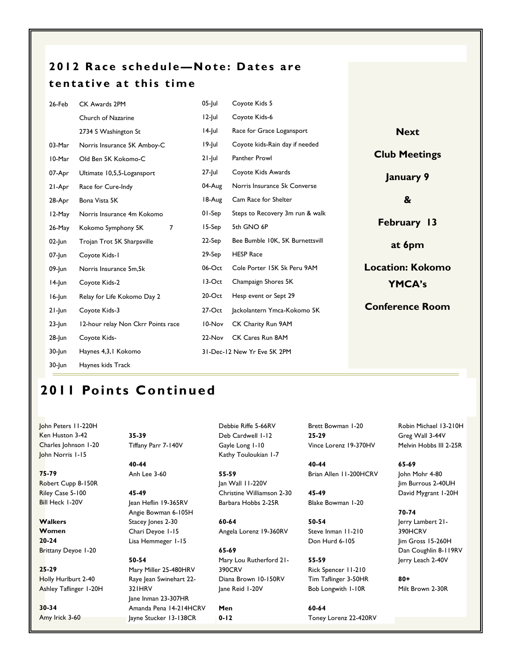# 2012 Race schedule-Note: Dates are tentative at this time

| 26-Feb    | CK Awards 2PM                        | $05$ -Jul | Coyote Kids 5                   |                         |
|-----------|--------------------------------------|-----------|---------------------------------|-------------------------|
|           | Church of Nazarine                   | $12$ -Jul | Coyote Kids-6                   |                         |
|           | 2734 S Washington St                 | 14-Jul    | Race for Grace Logansport       | <b>Next</b>             |
| 03-Mar    | Norris Insurance 5K Amboy-C          | 19-Jul    | Coyote kids-Rain day if needed  |                         |
| 10-Mar    | Old Ben 5K Kokomo-C                  | $21$ -Jul | Panther Prowl                   | <b>Club Meetings</b>    |
| 07-Apr    | Ultimate 10,5,5-Logansport           | 27-Jul    | Coyote Kids Awards              | January 9               |
| 21-Apr    | Race for Cure-Indy                   | 04-Aug    | Norris Insurance 5k Converse    |                         |
| 28-Apr    | Bona Vista 5K                        | 18-Aug    | Cam Race for Shelter            | &                       |
| 12-May    | Norris Insurance 4m Kokomo           | $01-Sep$  | Steps to Recovery 3m run & walk |                         |
| $26$ -May | $\overline{7}$<br>Kokomo Symphony 5K | $15-Sep$  | 5th GNO 6P                      | February 13             |
| $02$ -Jun | Trojan Trot 5K Sharpsville           | 22-Sep    | Bee Bumble 10K, 5K Burnettsvill | at 6pm                  |
| $07$ -Jun | Coyote Kids-1                        | 29-Sep    | <b>HESP Race</b>                |                         |
| 09-Jun    | Norris Insurance 5m, 5k              | $06$ -Oct | Cole Porter 15K 5k Peru 9AM     | <b>Location: Kokomo</b> |
| 14-Jun    | Coyote Kids-2                        | 13-Oct    | Champaign Shores 5K             | <b>YMCA's</b>           |
| 16-Jun    | Relay for Life Kokomo Day 2          | $20$ -Oct | Hesp event or Sept 29           |                         |
| $21$ -Jun | Coyote Kids-3                        | $27-Oct$  | Jackolantern Ymca-Kokomo 5K     | <b>Conference Room</b>  |
| $23$ -Jun | 12-hour relay Non Ckrr Points race   | 10-Nov    | CK Charity Run 9AM              |                         |
| $28$ -Jun | Coyote Kids-                         | 22-Nov    | CK Cares Run 8AM                |                         |
| 30-Jun    | Haynes 4,3,1 Kokomo                  |           | 31-Dec-12 New Yr Eve 5K 2PM     |                         |
| $30$ -Jun | Haynes kids Track                    |           |                                 |                         |

# 2011 Points Continued

John Peters 11-220H Ken Huston 3-42 Charles Johnson 1-20 John Norris 1-15

75-79 Robert Cupp 8-150R Riley Case 5-100 Bill Heck 1-20V

**Walkers Women** 20-24 Brittany Deyoe 1-20

25-29 Holly Hurlburt 2-40 Ashley Taflinger 1-20H

30-34 Amy Irick 3-60 35-39 Tiffany Parr 7-140V

40-44 Anh Lee 3-60

45-49 Jean Heflin 19-365RV Angie Bowman 6-105H Stacey Jones 2-30 Chari Deyoe 1-15 Lisa Hemmeger 1-15

50-54 Mary Miller 25-480HRV Raye Jean Swinehart 22- 321HRV Jane Inman 23-307HR Amanda Pena 14-214HCRV Jayne Stucker 13-138CR

Debbie Riffe 5-66RV Deb Cardwell 1-12 Gayle Long 1-10 Kathy Touloukian 1-7

55-59 Jan Wall 11-220V Christine Williamson 2-30 Barbara Hobbs 2-25R

60-64 Angela Lorenz 19-360RV

65-69 Mary Lou Rutherford 21- 390CRV Diana Brown 10-150RV Jane Reid 1-20V

Men 0-12 60-64

Brett Bowman 1-20 25-29 Vince Lorenz 19-370HV

40-44 Brian Allen 11-200HCRV

45-49 Blake Bowman 1-20

50-54 Steve Inman 11-210 Don Hurd 6-105

55-59 Rick Spencer 11-210 Tim Taflinger 3-50HR Bob Longwith 1-10R

Toney Lorenz 22-420RV

Robin Michael 13-210H Greg Wall 3-44V Melvin Hobbs III 2-25R

65-69 John Mohr 4-80 Jim Burrous 2-40UH David Mygrant 1-20H

70-74 Jerry Lambert 21- 390HCRV Jim Gross 15-260H Dan Coughlin 8-119RV Jerry Leach 2-40V

80+ Milt Brown 2-30R